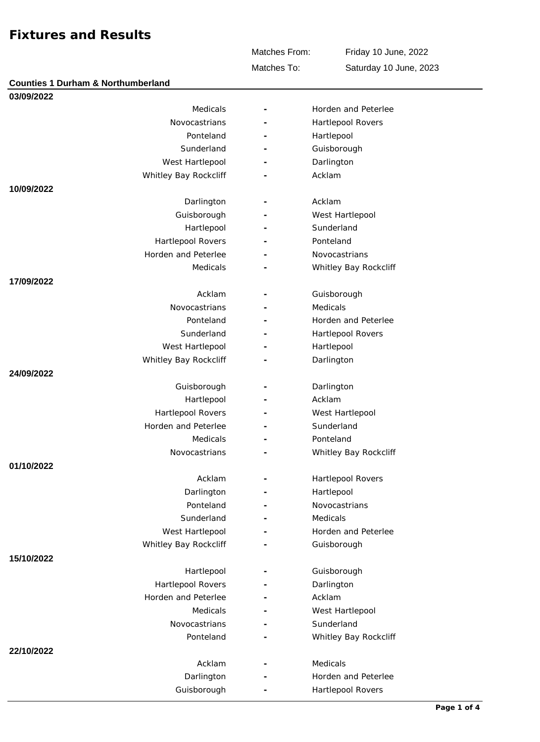Matches From:

Friday 10 June, 2022 Saturday 10 June, 2023

Matches To:

| <b>Counties 1 Durham &amp; Northumberland</b> |  |                       |  |  |  |
|-----------------------------------------------|--|-----------------------|--|--|--|
| 03/09/2022                                    |  |                       |  |  |  |
| Medicals                                      |  | Horden and Peterlee   |  |  |  |
| Novocastrians                                 |  | Hartlepool Rovers     |  |  |  |
| Ponteland                                     |  | Hartlepool            |  |  |  |
| Sunderland                                    |  | Guisborough           |  |  |  |
| West Hartlepool                               |  | Darlington            |  |  |  |
| Whitley Bay Rockcliff                         |  | Acklam                |  |  |  |
| 10/09/2022                                    |  |                       |  |  |  |
| Darlington                                    |  | Acklam                |  |  |  |
| Guisborough                                   |  | West Hartlepool       |  |  |  |
| Hartlepool                                    |  | Sunderland            |  |  |  |
| Hartlepool Rovers                             |  | Ponteland             |  |  |  |
| Horden and Peterlee                           |  | Novocastrians         |  |  |  |
| Medicals                                      |  | Whitley Bay Rockcliff |  |  |  |
| 17/09/2022                                    |  |                       |  |  |  |
| Acklam                                        |  | Guisborough           |  |  |  |
| Novocastrians                                 |  | Medicals              |  |  |  |
| Ponteland                                     |  | Horden and Peterlee   |  |  |  |
| Sunderland                                    |  | Hartlepool Rovers     |  |  |  |
| West Hartlepool                               |  | Hartlepool            |  |  |  |
| Whitley Bay Rockcliff                         |  | Darlington            |  |  |  |
| 24/09/2022                                    |  |                       |  |  |  |
| Guisborough                                   |  | Darlington            |  |  |  |
| Hartlepool                                    |  | Acklam                |  |  |  |
| Hartlepool Rovers                             |  | West Hartlepool       |  |  |  |
| Horden and Peterlee                           |  | Sunderland            |  |  |  |
| Medicals                                      |  | Ponteland             |  |  |  |
| Novocastrians                                 |  | Whitley Bay Rockcliff |  |  |  |
| 01/10/2022                                    |  |                       |  |  |  |
| Acklam                                        |  | Hartlepool Rovers     |  |  |  |
| Darlington                                    |  | Hartlepool            |  |  |  |
| Ponteland                                     |  | Novocastrians         |  |  |  |
| Sunderland                                    |  | Medicals              |  |  |  |
| West Hartlepool                               |  | Horden and Peterlee   |  |  |  |
| Whitley Bay Rockcliff                         |  | Guisborough           |  |  |  |
| 15/10/2022                                    |  |                       |  |  |  |
| Hartlepool                                    |  | Guisborough           |  |  |  |
| Hartlepool Rovers                             |  | Darlington            |  |  |  |
| Horden and Peterlee                           |  | Acklam                |  |  |  |
| Medicals                                      |  | West Hartlepool       |  |  |  |
| Novocastrians                                 |  | Sunderland            |  |  |  |
| Ponteland                                     |  | Whitley Bay Rockcliff |  |  |  |
| 22/10/2022                                    |  |                       |  |  |  |
| Acklam                                        |  | Medicals              |  |  |  |
| Darlington                                    |  | Horden and Peterlee   |  |  |  |
| Guisborough                                   |  | Hartlepool Rovers     |  |  |  |
|                                               |  |                       |  |  |  |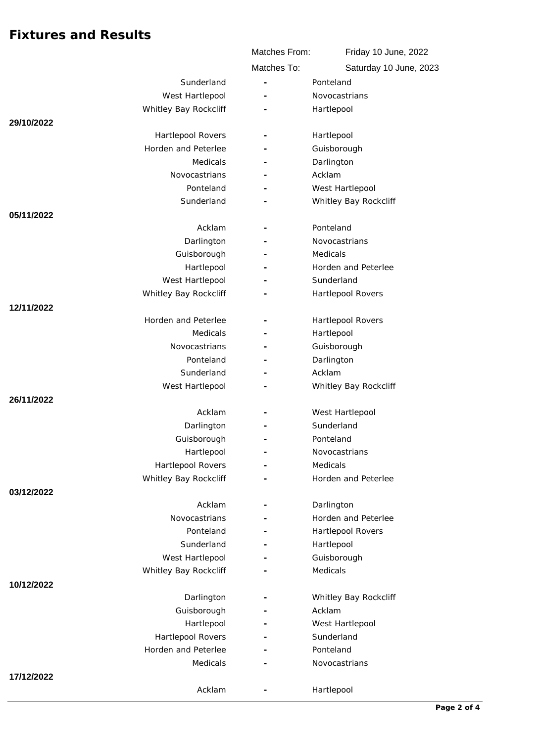|                       | Matches From:            | Friday 10 June, 2022   |
|-----------------------|--------------------------|------------------------|
|                       | Matches To:              | Saturday 10 June, 2023 |
| Sunderland            |                          | Ponteland              |
| West Hartlepool       |                          | Novocastrians          |
| Whitley Bay Rockcliff |                          | Hartlepool             |
| 29/10/2022            |                          |                        |
| Hartlepool Rovers     |                          | Hartlepool             |
| Horden and Peterlee   |                          | Guisborough            |
| Medicals              |                          | Darlington             |
| Novocastrians         | ۰                        | Acklam                 |
| Ponteland             |                          | West Hartlepool        |
| Sunderland            |                          | Whitley Bay Rockcliff  |
| 05/11/2022            |                          |                        |
| Acklam                | $\overline{\phantom{a}}$ | Ponteland              |
| Darlington            |                          | Novocastrians          |
| Guisborough           |                          | Medicals               |
| Hartlepool            |                          | Horden and Peterlee    |
| West Hartlepool       |                          | Sunderland             |
| Whitley Bay Rockcliff |                          | Hartlepool Rovers      |
| 12/11/2022            |                          |                        |
| Horden and Peterlee   |                          | Hartlepool Rovers      |
| Medicals              |                          | Hartlepool             |
| Novocastrians         |                          | Guisborough            |
| Ponteland             |                          | Darlington             |
| Sunderland            |                          | Acklam                 |
| West Hartlepool       |                          | Whitley Bay Rockcliff  |
| 26/11/2022            |                          |                        |
| Acklam                |                          | West Hartlepool        |
| Darlington            |                          | Sunderland             |
| Guisborough           |                          | Ponteland              |
| Hartlepool            |                          | Novocastrians          |
| Hartlepool Rovers     |                          | Medicals               |
| Whitley Bay Rockcliff |                          | Horden and Peterlee    |
| 03/12/2022            |                          |                        |
| Acklam                |                          | Darlington             |
| Novocastrians         |                          | Horden and Peterlee    |
| Ponteland             |                          | Hartlepool Rovers      |
| Sunderland            |                          | Hartlepool             |
| West Hartlepool       |                          | Guisborough            |
| Whitley Bay Rockcliff |                          | Medicals               |
| 10/12/2022            |                          |                        |
| Darlington            |                          | Whitley Bay Rockcliff  |
| Guisborough           |                          | Acklam                 |
| Hartlepool            |                          | West Hartlepool        |
| Hartlepool Rovers     |                          | Sunderland             |
| Horden and Peterlee   |                          | Ponteland              |
| Medicals              |                          | Novocastrians          |
| 17/12/2022            |                          |                        |
| Acklam                |                          | Hartlepool             |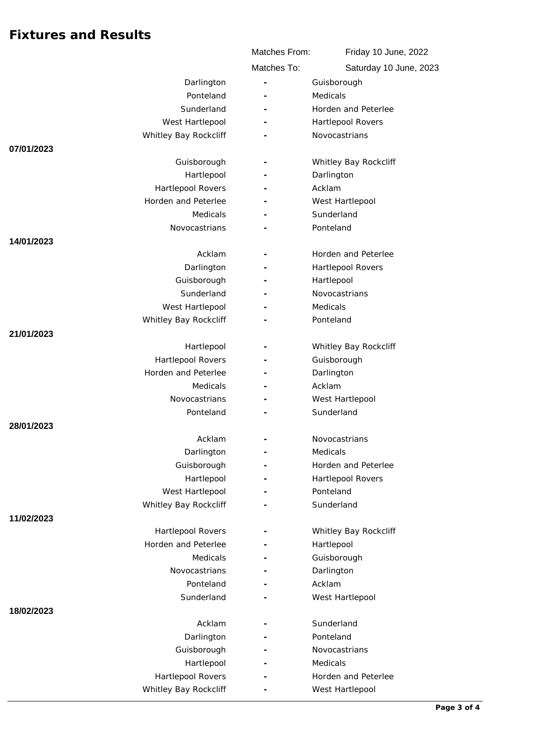|                       | Matches From:            | Friday 10 June, 2022   |
|-----------------------|--------------------------|------------------------|
|                       | Matches To:              | Saturday 10 June, 2023 |
| Darlington            | ÷,                       | Guisborough            |
| Ponteland             |                          | Medicals               |
| Sunderland            |                          | Horden and Peterlee    |
| West Hartlepool       |                          | Hartlepool Rovers      |
| Whitley Bay Rockcliff |                          | Novocastrians          |
| 07/01/2023            |                          |                        |
| Guisborough           |                          | Whitley Bay Rockcliff  |
| Hartlepool            |                          | Darlington             |
| Hartlepool Rovers     |                          | Acklam                 |
| Horden and Peterlee   |                          | West Hartlepool        |
| Medicals              |                          | Sunderland             |
| Novocastrians         |                          | Ponteland              |
| 14/01/2023            |                          |                        |
| Acklam                |                          | Horden and Peterlee    |
| Darlington            |                          | Hartlepool Rovers      |
| Guisborough           |                          | Hartlepool             |
| Sunderland            |                          | Novocastrians          |
| West Hartlepool       |                          | Medicals               |
| Whitley Bay Rockcliff |                          | Ponteland              |
| 21/01/2023            |                          |                        |
| Hartlepool            |                          | Whitley Bay Rockcliff  |
| Hartlepool Rovers     |                          | Guisborough            |
| Horden and Peterlee   |                          | Darlington             |
| Medicals              | -                        | Acklam                 |
| Novocastrians         |                          | West Hartlepool        |
| Ponteland             |                          | Sunderland             |
| 28/01/2023            |                          |                        |
| Acklam                |                          | Novocastrians          |
| Darlington            |                          | Medicals               |
| Guisborough           |                          | Horden and Peterlee    |
| Hartlepool            |                          | Hartlepool Rovers      |
| West Hartlepool       |                          | Ponteland              |
| Whitley Bay Rockcliff |                          | Sunderland             |
| 11/02/2023            |                          |                        |
| Hartlepool Rovers     |                          | Whitley Bay Rockcliff  |
| Horden and Peterlee   |                          | Hartlepool             |
| Medicals              |                          | Guisborough            |
| Novocastrians         |                          | Darlington             |
| Ponteland             |                          | Acklam                 |
| Sunderland            |                          | West Hartlepool        |
| 18/02/2023            |                          |                        |
| Acklam                | $\overline{\phantom{a}}$ | Sunderland             |
| Darlington            |                          | Ponteland              |
| Guisborough           |                          | Novocastrians          |
| Hartlepool            |                          | Medicals               |
| Hartlepool Rovers     |                          | Horden and Peterlee    |
| Whitley Bay Rockcliff |                          | West Hartlepool        |